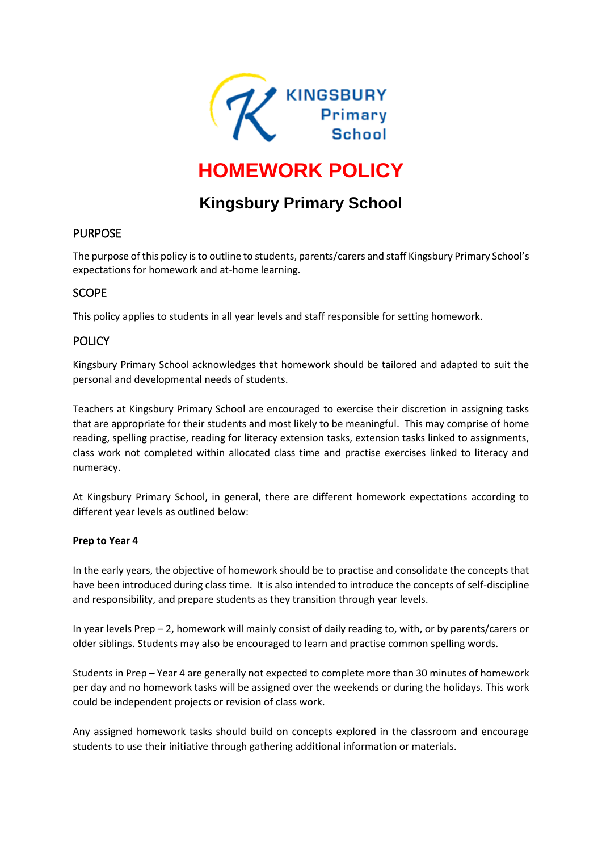

# **HOMEWORK POLICY**

# **Kingsbury Primary School**

# PURPOSE

The purpose of this policy is to outline to students, parents/carers and staff Kingsbury Primary School's expectations for homework and at-home learning.

# **SCOPE**

This policy applies to students in all year levels and staff responsible for setting homework.

# **POLICY**

Kingsbury Primary School acknowledges that homework should be tailored and adapted to suit the personal and developmental needs of students.

Teachers at Kingsbury Primary School are encouraged to exercise their discretion in assigning tasks that are appropriate for their students and most likely to be meaningful. This may comprise of home reading, spelling practise, reading for literacy extension tasks, extension tasks linked to assignments, class work not completed within allocated class time and practise exercises linked to literacy and numeracy.

At Kingsbury Primary School, in general, there are different homework expectations according to different year levels as outlined below:

#### **Prep to Year 4**

In the early years, the objective of homework should be to practise and consolidate the concepts that have been introduced during class time. It is also intended to introduce the concepts of self-discipline and responsibility, and prepare students as they transition through year levels.

In year levels Prep – 2, homework will mainly consist of daily reading to, with, or by parents/carers or older siblings. Students may also be encouraged to learn and practise common spelling words.

Students in Prep – Year 4 are generally not expected to complete more than 30 minutes of homework per day and no homework tasks will be assigned over the weekends or during the holidays. This work could be independent projects or revision of class work.

Any assigned homework tasks should build on concepts explored in the classroom and encourage students to use their initiative through gathering additional information or materials.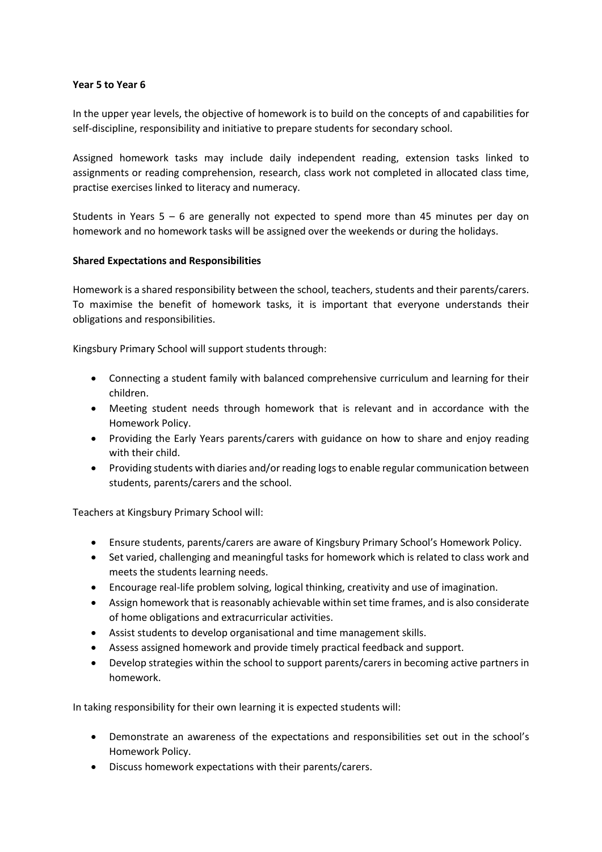#### **Year 5 to Year 6**

In the upper year levels, the objective of homework is to build on the concepts of and capabilities for self-discipline, responsibility and initiative to prepare students for secondary school.

Assigned homework tasks may include daily independent reading, extension tasks linked to assignments or reading comprehension, research, class work not completed in allocated class time, practise exercises linked to literacy and numeracy.

Students in Years 5 – 6 are generally not expected to spend more than 45 minutes per day on homework and no homework tasks will be assigned over the weekends or during the holidays.

#### **Shared Expectations and Responsibilities**

Homework is a shared responsibility between the school, teachers, students and their parents/carers. To maximise the benefit of homework tasks, it is important that everyone understands their obligations and responsibilities.

Kingsbury Primary School will support students through:

- Connecting a student family with balanced comprehensive curriculum and learning for their children.
- Meeting student needs through homework that is relevant and in accordance with the Homework Policy.
- Providing the Early Years parents/carers with guidance on how to share and enjoy reading with their child.
- Providing students with diaries and/or reading logs to enable regular communication between students, parents/carers and the school.

Teachers at Kingsbury Primary School will:

- Ensure students, parents/carers are aware of Kingsbury Primary School's Homework Policy.
- Set varied, challenging and meaningful tasks for homework which is related to class work and meets the students learning needs.
- Encourage real-life problem solving, logical thinking, creativity and use of imagination.
- Assign homework that is reasonably achievable within set time frames, and is also considerate of home obligations and extracurricular activities.
- Assist students to develop organisational and time management skills.
- Assess assigned homework and provide timely practical feedback and support.
- Develop strategies within the school to support parents/carers in becoming active partners in homework.

In taking responsibility for their own learning it is expected students will:

- Demonstrate an awareness of the expectations and responsibilities set out in the school's Homework Policy.
- Discuss homework expectations with their parents/carers.